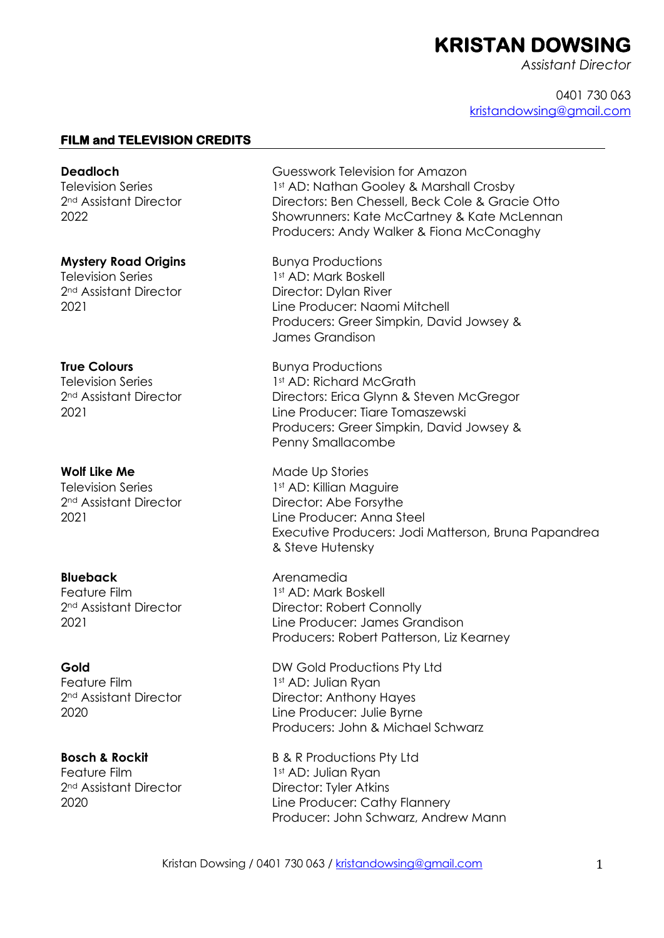# **KRISTAN DOWSING**

*Assistant Director*

0401 730 063 kristandowsing@gmail.com

## **FILM and TELEVISION CREDITS**

**Deadloch** Television Series 2<sup>nd</sup> Assistant Director 2022

#### **Mystery Road Origins**

Television Series 2nd Assistant Director 2021

#### **True Colours**

Television Series 2nd Assistant Director 2021

#### **Wolf Like Me**

Television Series 2nd Assistant Director 2021

#### **Blueback**

Feature Film 2nd Assistant Director 2021

#### **Gold**

Feature Film 2nd Assistant Director 2020

#### **Bosch & Rockit**

Feature Film 2nd Assistant Director 2020

Guesswork Television for Amazon 1st AD: Nathan Gooley & Marshall Crosby Directors: Ben Chessell, Beck Cole & Gracie Otto Showrunners: Kate McCartney & Kate McLennan Producers: Andy Walker & Fiona McConaghy

Bunya Productions 1st AD: Mark Boskell Director: Dylan River Line Producer: Naomi Mitchell Producers: Greer Simpkin, David Jowsey & James Grandison

Bunya Productions 1st AD: Richard McGrath Directors: Erica Glynn & Steven McGregor Line Producer: Tiare Tomaszewski Producers: Greer Simpkin, David Jowsey & Penny Smallacombe

Made Up Stories 1st AD: Killian Maguire Director: Abe Forsythe Line Producer: Anna Steel Executive Producers: Jodi Matterson, Bruna Papandrea & Steve Hutensky

Arenamedia 1st AD: Mark Boskell Director: Robert Connolly Line Producer: James Grandison Producers: Robert Patterson, Liz Kearney

DW Gold Productions Pty Ltd 1st AD: Julian Ryan Director: Anthony Hayes Line Producer: Julie Byrne Producers: John & Michael Schwarz

B & R Productions Pty Ltd 1st AD: Julian Ryan Director: Tyler Atkins Line Producer: Cathy Flannery Producer: John Schwarz, Andrew Mann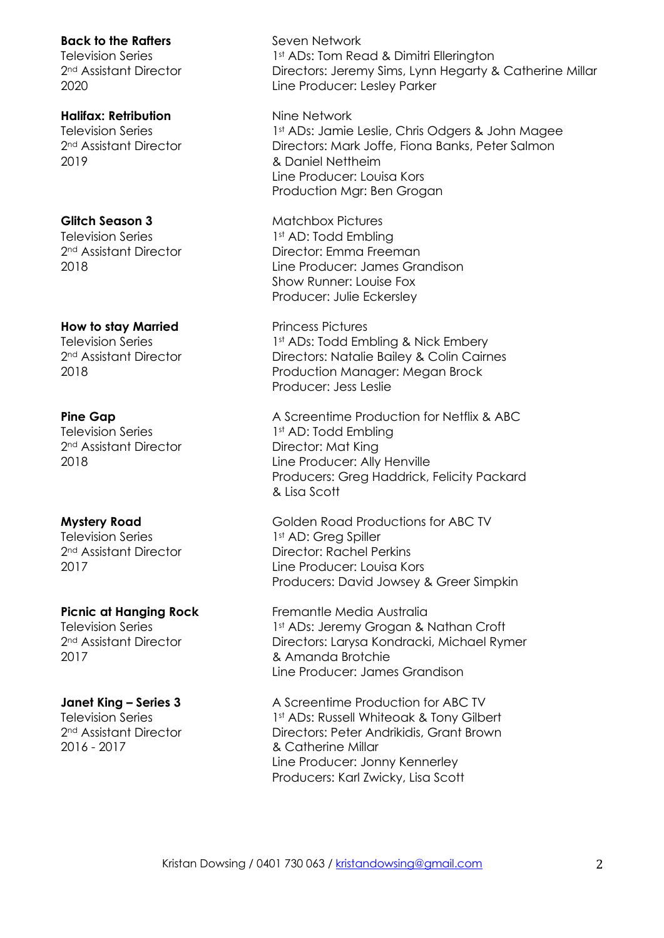#### **Back to the Rafters**

Television Series 2nd Assistant Director 2020

## **Halifax: Retribution**

Television Series 2nd Assistant Director 2019

#### **Glitch Season 3**

Television Series 2nd Assistant Director 2018

## **How to stay Married**

Television Series 2nd Assistant Director 2018

#### **Pine Gap**

Television Series 2nd Assistant Director 2018

## **Mystery Road**

Television Series 2nd Assistant Director 2017

#### **Picnic at Hanging Rock**

Television Series 2nd Assistant Director 2017

#### **Janet King – Series 3**

Television Series 2nd Assistant Director 2016 - 2017

Seven Network 1st ADs: Tom Read & Dimitri Ellerington Directors: Jeremy Sims, Lynn Hegarty & Catherine Millar Line Producer: Lesley Parker

Nine Network 1st ADs: Jamie Leslie, Chris Odgers & John Magee Directors: Mark Joffe, Fiona Banks, Peter Salmon & Daniel Nettheim Line Producer: Louisa Kors Production Mgr: Ben Grogan

Matchbox Pictures 1st AD: Todd Embling Director: Emma Freeman Line Producer: James Grandison Show Runner: Louise Fox Producer: Julie Eckersley

Princess Pictures 1st ADs: Todd Embling & Nick Embery Directors: Natalie Bailey & Colin Cairnes Production Manager: Megan Brock Producer: Jess Leslie

A Screentime Production for Netflix & ABC 1st AD: Todd Embling Director: Mat King Line Producer: Ally Henville Producers: Greg Haddrick, Felicity Packard & Lisa Scott

Golden Road Productions for ABC TV 1st AD: Greg Spiller Director: Rachel Perkins Line Producer: Louisa Kors Producers: David Jowsey & Greer Simpkin

Fremantle Media Australia 1st ADs: Jeremy Grogan & Nathan Croft Directors: Larysa Kondracki, Michael Rymer & Amanda Brotchie Line Producer: James Grandison

A Screentime Production for ABC TV 1st ADs: Russell Whiteoak & Tony Gilbert Directors: Peter Andrikidis, Grant Brown & Catherine Millar Line Producer: Jonny Kennerley Producers: Karl Zwicky, Lisa Scott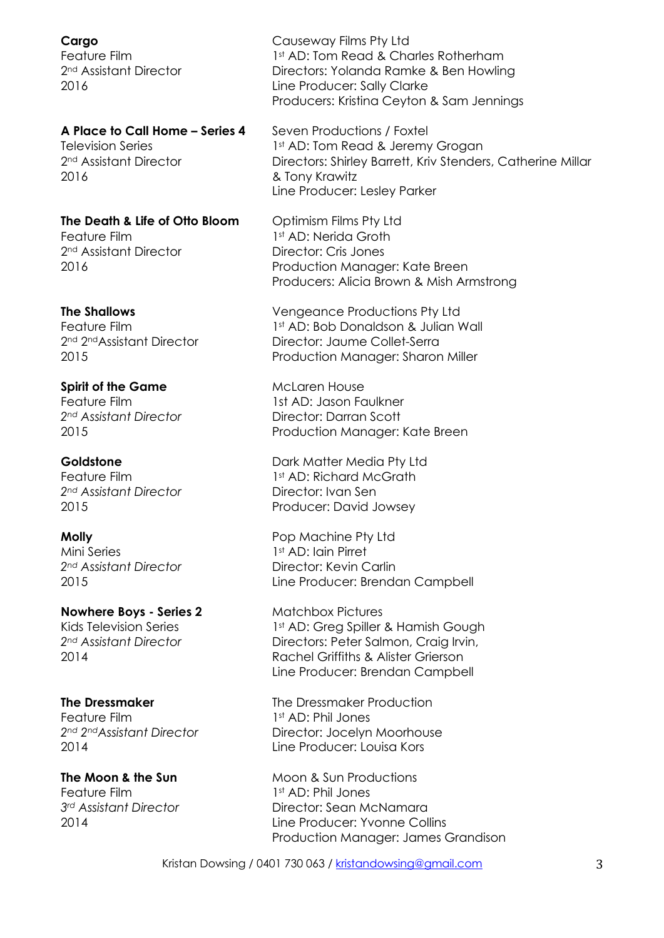**Cargo** Feature Film 2nd Assistant Director 2016

# **A Place to Call Home – Series 4**

Television Series 2nd Assistant Director 2016

**The Death & Life of Otto Bloom** Feature Film 2nd Assistant Director 2016

#### **The Shallows**

Feature Film 2<sup>nd</sup> 2<sup>nd</sup>Assistant Director 2015

#### **Spirit of the Game**

Feature Film *2nd Assistant Director* 2015

#### **Goldstone**

Feature Film *2nd Assistant Director* 2015

#### **Molly**

Mini Series *2nd Assistant Director* 2015

**Nowhere Boys - Series 2** Kids Television Series *2nd Assistant Director* 2014

#### **The Dressmaker**

Feature Film *2nd 2ndAssistant Director* 2014

#### **The Moon & the Sun**

Feature Film *3rd Assistant Director* 2014

Causeway Films Pty Ltd 1st AD: Tom Read & Charles Rotherham Directors: Yolanda Ramke & Ben Howling Line Producer: Sally Clarke Producers: Kristina Ceyton & Sam Jennings

Seven Productions / Foxtel 1st AD: Tom Read & Jeremy Grogan Directors: Shirley Barrett, Kriv Stenders, Catherine Millar & Tony Krawitz Line Producer: Lesley Parker

Optimism Films Pty Ltd 1st AD: Nerida Groth Director: Cris Jones Production Manager: Kate Breen Producers: Alicia Brown & Mish Armstrong

Vengeance Productions Pty Ltd 1st AD: Bob Donaldson & Julian Wall Director: Jaume Collet-Serra Production Manager: Sharon Miller

McLaren House 1st AD: Jason Faulkner Director: Darran Scott Production Manager: Kate Breen

Dark Matter Media Pty Ltd 1st AD: Richard McGrath Director: Ivan Sen Producer: David Jowsey

Pop Machine Pty Ltd 1st AD: Iain Pirret Director: Kevin Carlin Line Producer: Brendan Campbell

Matchbox Pictures 1st AD: Greg Spiller & Hamish Gough Directors: Peter Salmon, Craig Irvin, Rachel Griffiths & Alister Grierson Line Producer: Brendan Campbell

The Dressmaker Production 1st AD: Phil Jones Director: Jocelyn Moorhouse Line Producer: Louisa Kors

Moon & Sun Productions 1st AD: Phil Jones Director: Sean McNamara Line Producer: Yvonne Collins Production Manager: James Grandison

Kristan Dowsing / 0401 730 063 / kristandowsing@gmail.com 3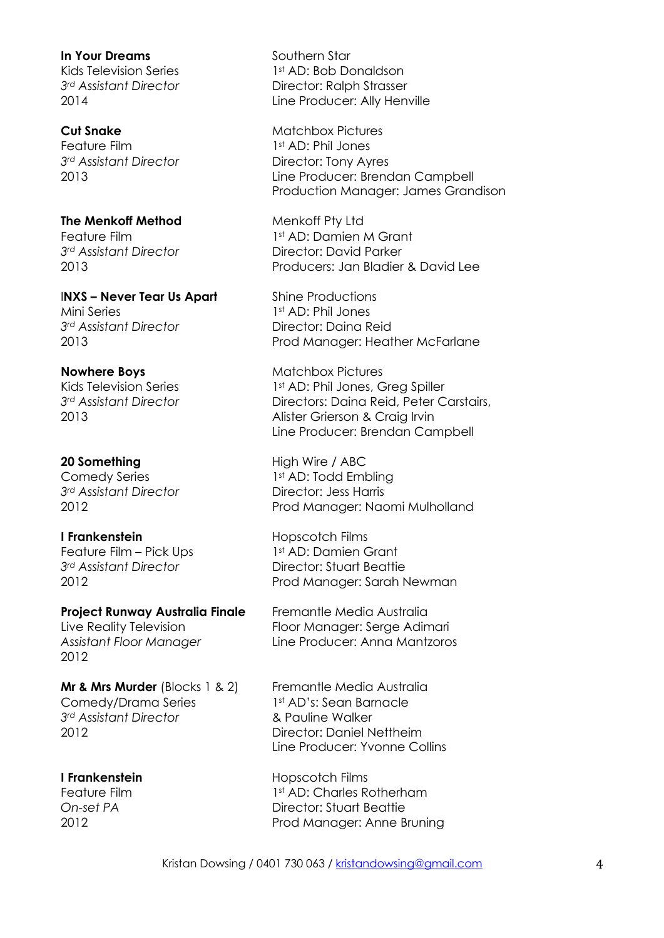#### **In Your Dreams**

Kids Television Series *3rd Assistant Director* 2014

#### **Cut Snake**

Feature Film *3rd Assistant Director* 2013

# **The Menkoff Method**

Feature Film *3rd Assistant Director* 2013

#### I**NXS – Never Tear Us Apart** Mini Series *3rd Assistant Director* 2013

## **Nowhere Boys**

Kids Television Series *3rd Assistant Director* 2013

## **20 Something**

Comedy Series *3rd Assistant Director* 2012

## **I Frankenstein**

Feature Film – Pick Ups *3rd Assistant Director* 2012

# **Project Runway Australia Finale**

Live Reality Television *Assistant Floor Manager* 2012

**Mr & Mrs Murder** (Blocks 1 & 2) Comedy/Drama Series *3rd Assistant Director* 2012

## **I Frankenstein**

Feature Film *On-set PA* 2012

Southern Star 1st AD: Bob Donaldson Director: Ralph Strasser Line Producer: Ally Henville

Matchbox Pictures 1st AD: Phil Jones Director: Tony Ayres Line Producer: Brendan Campbell Production Manager: James Grandison

Menkoff Pty Ltd 1st AD: Damien M Grant Director: David Parker Producers: Jan Bladier & David Lee

Shine Productions 1st AD: Phil Jones Director: Daina Reid Prod Manager: Heather McFarlane

Matchbox Pictures 1st AD: Phil Jones, Grea Spiller Directors: Daina Reid, Peter Carstairs, Alister Grierson & Craig Irvin Line Producer: Brendan Campbell

High Wire / ABC 1st AD: Todd Embling Director: Jess Harris Prod Manager: Naomi Mulholland

Hopscotch Films 1st AD: Damien Grant Director: Stuart Beattie Prod Manager: Sarah Newman

Fremantle Media Australia Floor Manager: Serge Adimari Line Producer: Anna Mantzoros

Fremantle Media Australia 1st AD's: Sean Barnacle & Pauline Walker Director: Daniel Nettheim Line Producer: Yvonne Collins

Hopscotch Films 1st AD: Charles Rotherham Director: Stuart Beattie Prod Manager: Anne Bruning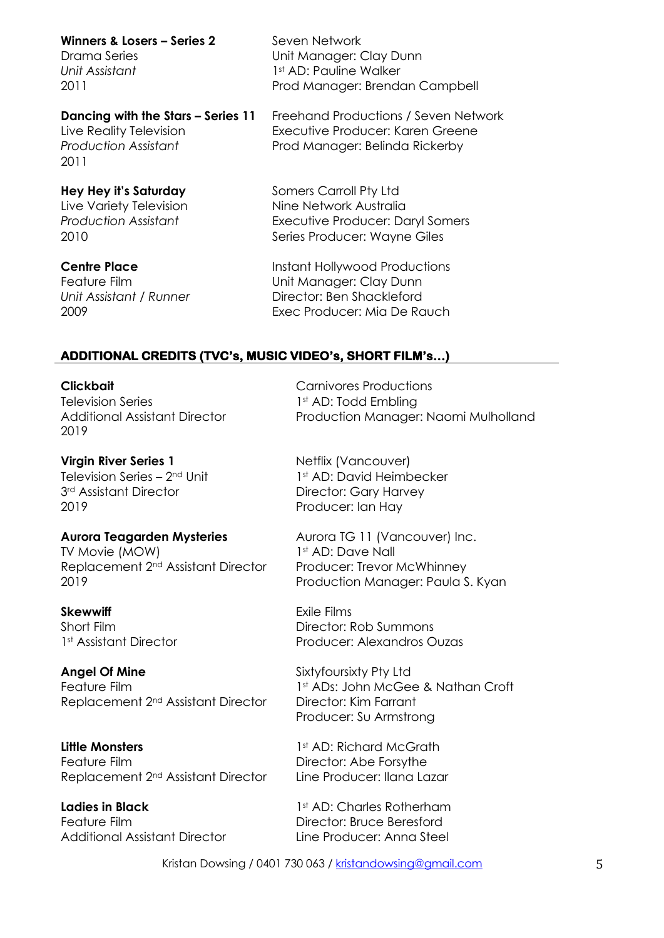**Winners & Losers – Series 2**

Drama Series *Unit Assistant* 2011

**Dancing with the Stars – Series 11** Live Reality Television *Production Assistant* 2011

**Hey Hey it's Saturday** Live Variety Television *Production Assistant* 2010

**Centre Place** Feature Film *Unit Assistant / Runner* 2009

Seven Network Unit Manager: Clay Dunn 1st AD: Pauline Walker Prod Manager: Brendan Campbell

Freehand Productions / Seven Network Executive Producer: Karen Greene Prod Manager: Belinda Rickerby

Somers Carroll Pty Ltd Nine Network Australia Executive Producer: Daryl Somers

Series Producer: Wayne Giles

Instant Hollywood Productions Unit Manager: Clay Dunn Director: Ben Shackleford Exec Producer: Mia De Rauch

> Carnivores Productions 1st AD: Todd Embling

# **ADDITIONAL CREDITS (TVC's, MUSIC VIDEO's, SHORT FILM's…)**

**Clickbait** Television Series Additional Assistant Director 2019

**Virgin River Series 1** Television Series – 2nd Unit 3rd Assistant Director 2019

## **Aurora Teagarden Mysteries**

TV Movie (MOW) Replacement 2nd Assistant Director 2019

**Skewwiff** Short Film 1st Assistant Director

**Angel Of Mine** Feature Film Replacement 2nd Assistant Director

**Little Monsters** Feature Film Replacement 2nd Assistant Director

**Ladies in Black** Feature Film Additional Assistant Director Netflix (Vancouver) 1st AD: David Heimbecker Director: Gary Harvey Producer: Ian Hay

Aurora TG 11 (Vancouver) Inc. 1st AD: Dave Nall Producer: Trevor McWhinney Production Manager: Paula S. Kyan

Production Manager: Naomi Mulholland

Exile Films Director: Rob Summons Producer: Alexandros Ouzas

Sixtyfoursixty Pty Ltd 1st ADs: John McGee & Nathan Croft Director: Kim Farrant Producer: Su Armstrong

1st AD: Richard McGrath Director: Abe Forsythe Line Producer: Ilana Lazar

1st AD: Charles Rotherham Director: Bruce Beresford Line Producer: Anna Steel

Kristan Dowsing / 0401 730 063 / kristandowsing@gmail.com 5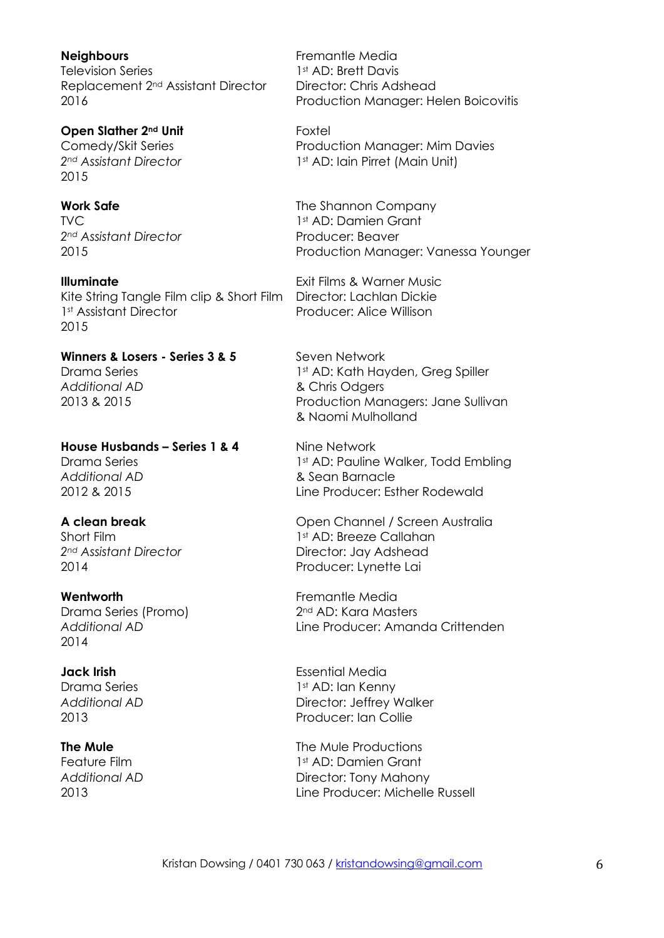**Neighbours**  Television Series Replacement 2nd Assistant Director 2016

**Open Slather 2nd Unit** Comedy/Skit Series *2nd Assistant Director* 2015

**Work Safe** TVC *2nd Assistant Director* 2015

**Illuminate** Kite String Tangle Film clip & Short Film Director: Lachlan Dickie 1<sup>st</sup> Assistant Director 2015

**Winners & Losers - Series 3 & 5** Drama Series *Additional AD* 2013 & 2015

**House Husbands – Series 1 & 4** Drama Series *Additional AD* 2012 & 2015

## **A clean break**

Short Film *2nd Assistant Director*  2014

#### **Wentworth**

Drama Series (Promo) *Additional AD* 2014

#### **Jack Irish**

Drama Series *Additional AD* 2013

#### **The Mule**

Feature Film *Additional AD* 2013

Fremantle Media 1st AD: Brett Davis Director: Chris Adshead Production Manager: Helen Boicovitis

Foxtel Production Manager: Mim Davies 1<sup>st</sup> AD: Iain Pirret (Main Unit)

The Shannon Company 1st AD: Damien Grant Producer: Beaver Production Manager: Vanessa Younger

Exit Films & Warner Music Producer: Alice Willison

Seven Network 1st AD: Kath Hayden, Greg Spiller & Chris Odgers Production Managers: Jane Sullivan & Naomi Mulholland

Nine Network 1st AD: Pauline Walker, Todd Embling & Sean Barnacle Line Producer: Esther Rodewald

Open Channel / Screen Australia 1st AD: Breeze Callahan Director: Jay Adshead Producer: Lynette Lai

Fremantle Media 2<sup>nd</sup> AD: Kara Masters Line Producer: Amanda Crittenden

Essential Media 1st AD: Ian Kenny Director: Jeffrey Walker Producer: Ian Collie

The Mule Productions 1st AD: Damien Grant Director: Tony Mahony Line Producer: Michelle Russell